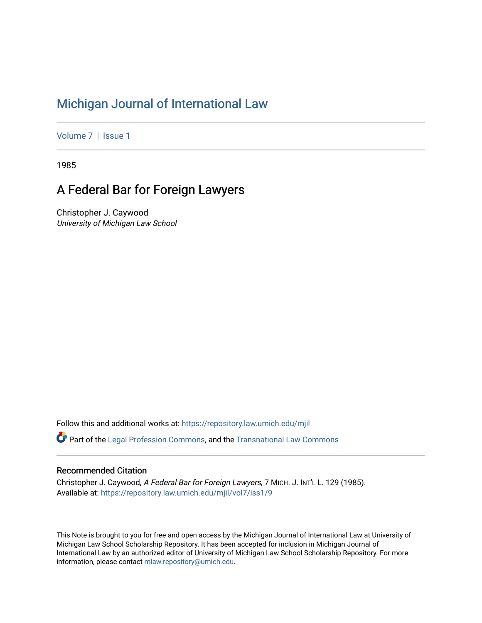## [Michigan Journal of International Law](https://repository.law.umich.edu/mjil)

[Volume 7](https://repository.law.umich.edu/mjil/vol7) | Issue 1

1985

# A Federal Bar for Foreign Lawyers

Christopher J. Caywood University of Michigan Law School

Follow this and additional works at: [https://repository.law.umich.edu/mjil](https://repository.law.umich.edu/mjil?utm_source=repository.law.umich.edu%2Fmjil%2Fvol7%2Fiss1%2F9&utm_medium=PDF&utm_campaign=PDFCoverPages) 

 $\bullet$  Part of the [Legal Profession Commons](http://network.bepress.com/hgg/discipline/1075?utm_source=repository.law.umich.edu%2Fmjil%2Fvol7%2Fiss1%2F9&utm_medium=PDF&utm_campaign=PDFCoverPages), and the [Transnational Law Commons](http://network.bepress.com/hgg/discipline/1123?utm_source=repository.law.umich.edu%2Fmjil%2Fvol7%2Fiss1%2F9&utm_medium=PDF&utm_campaign=PDFCoverPages)

### Recommended Citation

Christopher J. Caywood, A Federal Bar for Foreign Lawyers, 7 MICH. J. INT'L L. 129 (1985). Available at: [https://repository.law.umich.edu/mjil/vol7/iss1/9](https://repository.law.umich.edu/mjil/vol7/iss1/9?utm_source=repository.law.umich.edu%2Fmjil%2Fvol7%2Fiss1%2F9&utm_medium=PDF&utm_campaign=PDFCoverPages)

This Note is brought to you for free and open access by the Michigan Journal of International Law at University of Michigan Law School Scholarship Repository. It has been accepted for inclusion in Michigan Journal of International Law by an authorized editor of University of Michigan Law School Scholarship Repository. For more information, please contact [mlaw.repository@umich.edu](mailto:mlaw.repository@umich.edu).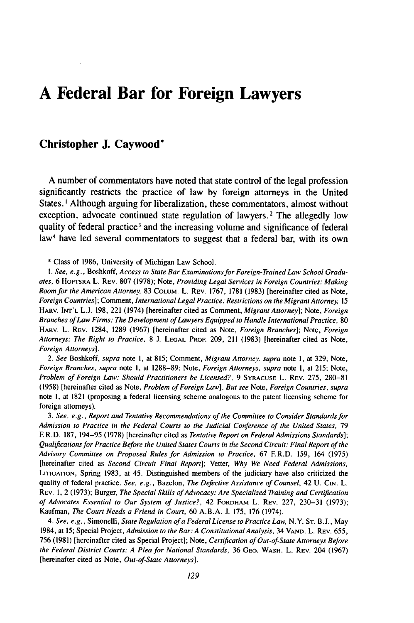## **A Federal Bar for Foreign Lawyers**

### **Christopher J. Caywood\***

**A** number of commentators have noted that state control of the legal profession significantly restricts the practice of law **by** foreign attorneys in the United States. **I** Although arguing for liberalization, these commentators, almost without exception, advocate continued state regulation of lawyers.<sup>2</sup> The allegedly low quality of federal practice<sup>3</sup> and the increasing volume and significance of federal law4 have led several commentators to suggest that a federal bar, with its own

**\*** Class of **1986,** University of Michigan Law School.

*1. See, e.g.,* Boshkoff, *Access to State Bar Examinations for Foreign-Trained Law* School Gradu*ates,* **6 HoFTSRA** L. **REV. 807 (1978);** Note, *Providing Legal Services in Foreign Countries: Making Room for the American Attorney,* **83 COLuM.** L. **REV. 1767, 1781 (1983)** [hereinafter cited as Note, *Foreign Countries];* Comment, *International Legal Practice: Restrictions on the Migrant Attorney,* **15 HARV. INT'L L.J. 198,** 221 (1974) [hereinafter cited as Comment, *Migrant Attorney];* Note, *Foreign Branches of Law Firms: The Development of Lawyers Equipped to Handle International Practice,* **<sup>80</sup> HARV.** L. **REV.** 1284, **1289 (1967)** [hereinafter cited as Note, *Foreign Branches];* Note, *Foreign Attorneys: The Right to Practice,* **8 J. LEGAL PROF. 209,** 211 **(1983)** [hereinafter cited as Note, *Foreign Attorneys].*

*2. See* Boshkoff, *supra* note **i,** at **815;** Comment, *Migrant Attorney, supra* note **1,** at **329;** Note, *Foreign Branches, supra* note **I,** at **1288-89;** Note, *Foreign Attorneys, supra* note **1,** at **215;** Note, *Problem of Foreign Law: Should Practitioners be Licensed?,* **9 SYRACUSE** L. **REV. 275, 280-81 (1958)** [hereinafter cited as Note, *Problem of Foreign Law]. But see* Note, *Foreign Countries, supra* note **1,** at **1821** (proposing a federal licensing scheme analogous to the patent licensing scheme for foreign attorneys).

*3. See, e.g., Report and Tentative Recommendations of the Committee to Consider Standards for Admission to Practice in the Federal Courts to the Judicial Conference of the United States,* **79** F **R.D. 187,** 194-95 **(1978)** [hereinafter cited as *Tentative Report on Federal Admissions Standards]; Qualifications for Practice Before the United States Courts in the Second Circuit: Final Report of the Advisory Committee on Proposed Rules for Admission to Practice,* **67** F. R.D. **159,** 164 **(1975)** [hereinafter cited as *Second Circuit Final Report];* Vetter, *Why We Need Federal Admissions,* LITIGATION, Spring 1983, at 45. Distinguished members of the judiciary have also criticized the quality of federal practice. *See, e.g.,* Bazelon, *The Defective Assistance of Counsel,* 42 **U. CIN.** L. **REV. 1,** 2 **(1973);** Burger, *The Special Skills of Advocacy: Are Specialized Training and Certification* of *Advocates Essential to Our System of Justice?,* 42 FORDHAM L. **REV. 227, 230-31 (1973);** Kaufman, *The Court Needs a Friend in Court,* **60 A.B.A. J. 175, 176** (1974).

*4. See, e.g.,* Simonelli, *State Regulation of a Federal License to Practice Law,* N.Y. **ST. B.J.,** May 1984, at **15;** Special Project, *Admission to the Bar: A ConstitutionalAnalysis,* 34 **VAND.** L. **REV. 655, 756 (1981)** [hereinafter cited as Special Project]; Note, *Certification of Out-of-State Attorneys Before the Federal District Courts: A Plea for National Standards,* **36 GEO.** WASH. L. **REV.** 204 **(1967)** [hereinafter cited as Note, *Out-of-State Attorneys].*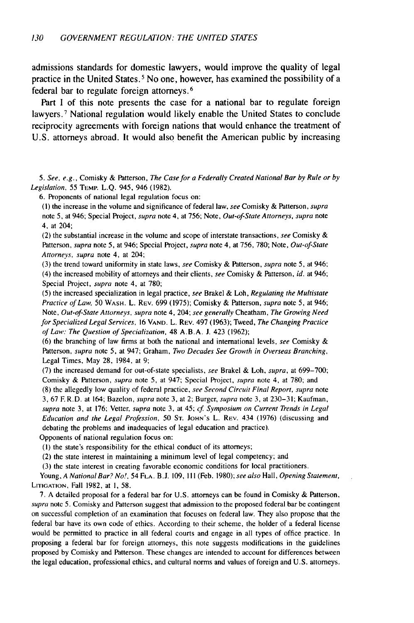admissions standards for domestic lawyers, would improve the quality of legal practice in the United States. **5** No one, however, has examined the possibility of a federal bar to regulate foreign attorneys. <sup>6</sup>

Part **I** of this note presents the case for a national bar to regulate foreign lawyers.<sup>7</sup> National regulation would likely enable the United States to conclude reciprocity agreements with foreign nations that would enhance the treatment of U.S. attorneys abroad. It would also benefit the American public by increasing

*5.* See, e.g., Comisky & Patterson, *The Case for a* Federally Created National Bar by Rule or by Legislation, 55 TEMP. L.Q. 945, 946 (1982).

6. Proponents of national legal regulation focus on:

(1) the increase in the volume and significance of federal law, see Comisky & Patterson, supra note 5, at 946; Special Project, supra note 4, at 756; Note, Out-of-State Attorneys, supra note 4, at 204;

(2) the substantial increase in the volume and scope of interstate transactions, see Comisky  $\&$ Patterson, supra note 5, at 946; Special Project, supra note 4, at 756, 780; Note, Out-of-State Attorneys, supra note 4, at 204;

(3) the trend toward uniformity in state laws, see Comisky & Patterson, supra note 5, at 946; (4) the increased mobility of attorneys and their clients, see Comisky & Patterson, id. at 946; Special Project, supra note 4, at 780;

(5) the increased specialization in legal practice, see Brakel & Loh, Regulating the Multistate Practice of Law, 50 WASH. L. REV. 699 (1975); Comisky & Patterson, supra note 5, at 946; Note, Out-of-State Attorneys, supra note 4, 204; see generally Cheatham, The Growing Need for Specialized Legal Services, 16 **VAND.** L. REV. 497 (1963); Tweed, The Changing Practice of Law: The Question of Specialization, 48 A.B.A. J. 423 (1962);

(6) the branching of law firms at both the national and international levels, see Comisky  $\&$ Patterson, supra note 5, at 947; Graham, Two Decades See Growth in Overseas Branching, Legal Times, May **28,** 1984, at 9;

(7) the increased demand for out-of-state specialists, see Brakel & Loh, supra, at 699-700; Comisky & Patterson, supra note 5, at 947; Special Project, supra note 4, at 780; and

(8) the allegedly low quality of federal practice, see Second Circuit Final Report, supra note 3, 67 F. R.D. at 164; Bazelon, supra note 3, at 2; Burger, supra note 3, at 230-31; Kaufman, supra note 3, at 176; Vetter, supra note 3, at 45; cf. Symposium on Current Trends in Legal Education and the Legal Profession, 50 **ST.** JOHN'S L. REV. 434 (1976) (discussing and debating the problems and inadequacies of legal education and practice).

Opponents of national regulation focus on:

(I) the state's responsibility for the ethical conduct of its attorneys;

(2) the state interest in maintaining a minimum level of legal competency; and

(3) the state interest in creating favorable economic conditions for local practitioners.

Young, A National Bar? No!, 54 **FLA.** B.J. 109, **II1** (Feb. 1980); see also Hall, Opening Statement, **LITIOATION,** Fall 1982, at **I,** 58.

7. A detailed proposal for a federal bar for U.S. attorneys can be found in Comisky & Patterson, supra note **5.** Comisky and Patterson suggest that admission to the proposed federal bar be contingent on successful completion of an examination that focuses on federal law. They also propose that the federal bar have its own code of ethics. According to their scheme, the holder of a federal license would be permitted to practice in all federal courts and engage in all types of office practice. In proposing a federal bar for foreign attorneys, this note suggests modifications in the guidelines proposed by Comisky and Patterson. These changes are intended to account for differences between the legal education, professional ethics, and cultural norms and values of foreign and U.S. attorneys.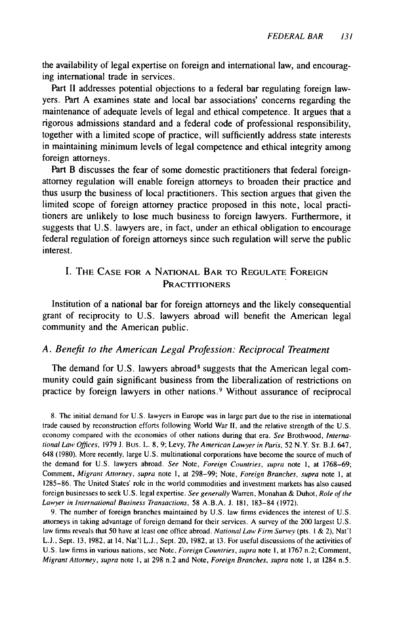the availability of legal expertise on foreign and international law, and encouraging international trade in services.

Part **II** addresses potential objections to a federal bar regulating foreign lawyers. Part **A** examines state and local bar associations' concerns regarding the maintenance of adequate levels of legal and ethical competence. It argues that a rigorous admissions standard and a federal code of professional responsibility, together with a limited scope of practice, will sufficiently address state interests in maintaining minimum levels of legal competence and ethical integrity among foreign attorneys.

Part B discusses the fear of some domestic practitioners that federal foreignattorney regulation will enable foreign attorneys to broaden their practice and thus usurp the business of local practitioners. This section argues that given the limited scope of foreign attorney practice proposed in this note, local practitioners are unlikely to lose much business to foreign lawyers. Furthermore, it suggests that **U.S.** lawyers are, in fact, under an ethical obligation to encourage federal regulation of foreign attorneys since such regulation will serve the public interest.

#### I. THE **CASE** FOR **A** NATIONAL BAR TO **REGULATE FOREIGN PRACTITIONERS**

Institution of a national bar for foreign attorneys and the likely consequential grant of reciprocity to U.S. lawyers abroad will benefit the American legal community and the American public.

#### *A. Benefit to the American Legal Profession: Reciprocal Treatment*

The demand for U.S. lawyers abroad<sup>8</sup> suggests that the American legal community could gain significant business from the liberalization of restrictions on practice by foreign lawyers in other nations. 9 Without assurance of reciprocal

8. The initial demand for U.S. lawyers in Europe was in large part due to the rise in international trade caused by reconstruction efforts following World War II, and the relative strength of the U.S. economy compared with the economies of other nations during that era. See Brothwood, International Law Offices, 1979 **J.** Bus. L. 8, 9; Levy, The American Lawyer in Paris, 52 N.Y. **ST.** B.J. 647, 648 (1980). More recently, large U.S. multinational corporations have become the source of much of the demand for U.S. lawyers abroad. See Note, Foreign Countries, supra note **1,** at 1768-69; Comment, Migrant Attorney, supra note I, at 298-99; Note, Foreign Branches, supra note **1,** at 1285-86. The United States' role in the world commodities and investment markets has also caused foreign businesses to seek U.S. legal expertise. See generally Warren, Monahan & Duhot, Role of the Lawyer in International Business Transactions, 58 A.B.A. J. 181, 183-84 (1972).

9. The number of foreign branches maintained by U.S. law firms evidences the interest of U.S. attorneys in taking advantage of foreign demand for their services. A survey of the 200 largest U.S. law firms reveals that 50 have at least one office abroad. National Law Firm Survey (pts. 1 & 2), Nat'l **L.J.,** Sept. 13, 1982, at 14, Nat'l **L.J.,** Sept. 20, 1982, at 13. For useful discussions of the activities of U.S. law firms in various nations, see Note, Foreign Countries, supra note **1,** at 1767 n.2; Comment, Migrant Attorney, supra note **1,** at 298 n.2 and Note, Foreign Branches, supra note I, at 1284 n.5.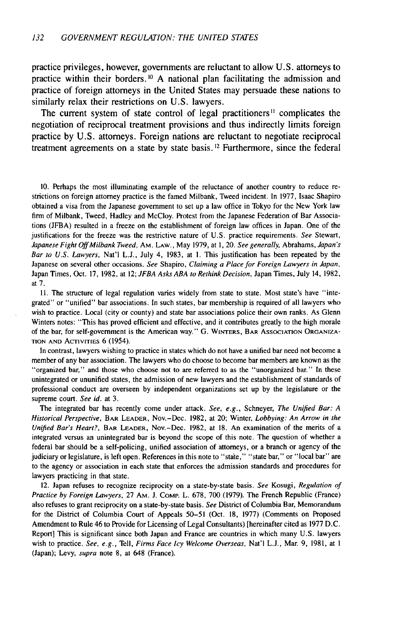practice privileges, however, governments are reluctant to allow U.S. attorneys to practice within their borders.<sup>10</sup> A national plan facilitating the admission and practice of foreign attorneys in the United States may persuade these nations to similarly relax their restrictions on U.S. lawyers.

The current system of state control of legal practitioners<sup>11</sup> complicates the negotiation of reciprocal treatment provisions and thus indirectly limits foreign practice **by** U.S. attorneys. Foreign nations are reluctant to negotiate reciprocal treatment agreements on a state **by** state basis. **12** Furthermore, since the federal

10. Perhaps the most illuminating example of the reluctance of another country to reduce restrictions on foreign attorney practice is the famed Milbank, Tweed incident. In **1977,** Isaac Shapiro obtained a visa from the Japanese government to set up a law office in Tokyo for the New York law firm of Milbank, Tweed, Hadley and McCloy. Protest from the Japanese Federation of Bar Associations (JFBA) resulted in a freeze on the establishment of foreign law offices in Japan. One of the justifications for the freeze was the restrictive nature of U.S. practice requirements. See Stewart, Japanese Fight Off Milbank Tweed, AM. LAW., May 1979, at **1,** 20. See generally, Abrahams, Japan's Bar to U.S. Lawyers, Nat'l L.J., July 4, 1983, at 1. This justification has been repeated **by** the Japanese on several other occasions. See Shapiro, Claiming a Place for Foreign Lawyers in Japan, Japan Times, Oct. **17, 1982,** at 12; JFBA Asks ABA to Rethink Decision, Japan Times, July 14, 1982, at **7.**

11. The structure of legal regulation varies widely from state to state. Most state's have "integrated" or "unified" bar associations. In such states, bar membership is required of all lawyers who wish to practice. Local (city or county) and state bar associations police their own ranks. As Glenn Winters notes: "This has proved efficient and effective, and it contributes greatly to the high morale of the bar, for self-government is the American way." G. WINTERS, BAR **ASSOCIATION** ORGANIZA-**TION AND** ACTIVITIES 6 (1954).

In contrast, lawyers wishing to practice in states which do not have a unified bar need not become a member of any bar association. The lawyers who do choose to become bar members are known as the "organized bar," and those who choose not to are referred to as the "unorganized bar." In these unintegrated or ununified states, the admission of new lawyers and the establishment of standards of professional conduct are overseen **by** independent organizations set up **by** the legislature or the supreme court. See id. at 3.

The integrated bar has recently come under attack. See, e.g., Schneyer, The Unified Bar: A Historical Perspective, BAR LEADER, Nov.-Dec. 1982, at 20; Winter, Lobbying: An Arrow in the *Unified* Bar's Heart?, BAR LEADER, Nov.-Dec. 1982, at 18. An examination of the merits of a integrated versus an unintegrated bar is beyond the scope of this note. The question of whether a federal bar should be a self-policing, unified association of attorneys, or a branch or agency of the judiciary or legislature, is left open. References in this note to "state," "state bar," or "local bar" are to the agency or association in each state that enforces the admission standards and procedures for lawyers practicing in that state.

12. Japan refuses to recognize reciprocity on a state-by-state basis. See Kosugi, Regulation of Practice by Foreign Lawyers, 27 Am. J. COMP. L. 678, 700 (1979). The French Republic (France) also refuses to grant reciprocity on a state-by-state basis. See District of Columbia Bar, Memorandum for the District of Columbia Court of Appeals 50-51 (Oct. 18, 1977) (Comments on Proposed Amendment to Rule 46 to Provide for Licensing of Legal Consultants) [hereinafter cited as 1977 D.C. Report] This is significant since both Japan and France are countries in which many U.S. lawyers wish to practice. See, e.g., Tell, Firms Face Icy Welcome Overseas, Nat'l L.J., Mar. 9, 1981, at **I** (Japan); Levy, supra note 8, at 648 (France).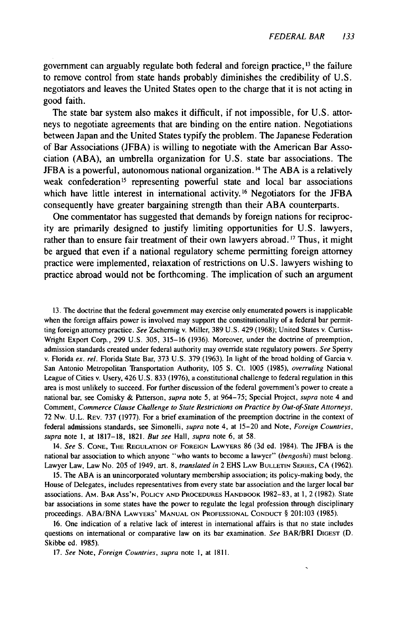government can arguably regulate both federal and foreign practice, **1 <sup>3</sup>**the failure to remove control from state hands probably diminishes the credibility of U.S. negotiators and leaves the United States open to the charge that it is not acting in good faith.

The state bar system also makes it difficult, if not impossible, for U.S. attorneys to negotiate agreements that are binding on the entire nation. Negotiations between Japan and the United States typify the problem. The Japanese Federation of Bar Associations (JFBA) is willing to negotiate with the American Bar Association (ABA), an umbrella organization for U.S. state bar associations. The JFBA is a powerful, autonomous national organization.<sup>14</sup> The ABA is a relatively weak confederation<sup>15</sup> representing powerful state and local bar associations which have little interest in international activity.<sup>16</sup> Negotiators for the JFBA consequently have greater bargaining strength than their ABA counterparts.

One commentator has suggested that demands by foreign nations for reciprocity are primarily designed to justify limiting opportunities for U.S. lawyers, rather than to ensure fair treatment of their own lawyers abroad.<sup>17</sup> Thus, it might be argued that even if a national regulatory scheme permitting foreign attorney practice were implemented, relaxation of restrictions on U.S. lawyers wishing to practice abroad would not be forthcoming. The implication of such an argument

13. The doctrine that the federal government may exercise only enumerated powers is inapplicable when the foreign affairs power is involved may support the constitutionality of a federal bar permitting foreign attorney practice. See Zschernig v. Miller, 389 U.S. 429 (1968); United States v. Curtiss-Wright Export Corp., 299 U.S. 305, 315-16 (1936). Moreover, under the doctrine of preemption, admission standards created under federal authority may override state regulatory powers. See Sperry v. Florida ex. rel. Florida State Bar, 373 U.S. 379 (1963). In light of the broad holding of Garcia v. San Antonio Metropolitan Transportation Authority, 105 **S.** Ct. 1005 (1985), overruling National League of Cities v. Usery, 426 U.S. 833 (1976), a constitutional challenge to federal regulation in this area is most unlikely to succeed. For further discussion of the federal government's power to create a national bar, see Comisky & Patterson, *supra* note 5, at 964-75; Special Project, *supra* note 4 and Comment, Commerce Clause Challenge to State Restrictions on Practice by Out-of-State Attorneys, 72 Nw. U.L. REV. 737 (1977). For a brief examination of the preemption doctrine in the context of federal admissions standards, see Simonelli, supra note 4, at 15-20 and Note, Foreign Countries, supra note 1, at 1817-18, 1821. But see Hall, supra note 6, at 58.

14. See S. **CONE,** THE **REGULATION** OF **FOREIGN** LAWYERS 86 (3d ed. 1984). The JFBA is the national bar association to which anyone "who wants to become a lawyer" (bengoshi) must belong. Lawyer Law, Law No. 205 of 1949, art. 8, translated in 2 EHS LAW **BULLETIN SERIES,** CA (1962).

15. The ABA is an unincorporated voluntary membership association; its policy-making body, the House of Delegates, includes representatives from every state bar association and the larger local bar associations. AM. BAR ASs'N, **POLICY AND** PROCEDURES HANDBOOK 1982-83, at 1, 2 (1982). State bar associations in some states have the power to regulate the legal profession through disciplinary proceedings. ABA/BNA LAWYERS' **MANUAL ON PROFESSIONAL CONDUCT** § 201:103 (1985).

16. One indication of a relative lack of interest in international affairs is that no state includes questions on international or comparative law on its bar examination. See BAR/BRI DIGEST (D. Skibbe ed. 1985).

17. See Note, *Foreign Countries, supra* note **1,** at 1811.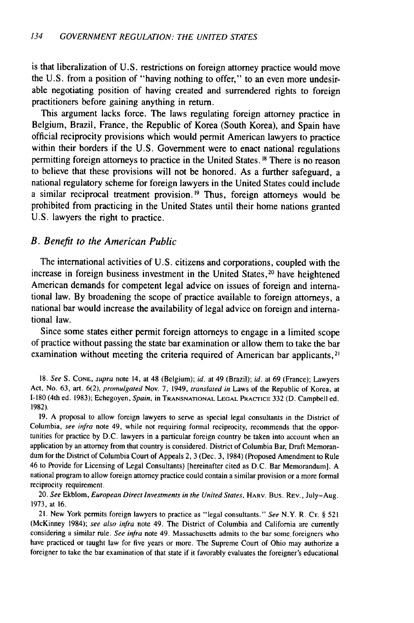is that liberalization of **U.S.** restrictions on foreign attorney practice would move the **U.S.** from a position of "having nothing to offer," to an even more undesirable negotiating position of having created and surrendered rights to foreign practitioners before gaining anything in return.

This argument lacks force. The laws regulating foreign attorney practice in Belgium, Brazil, France, the Republic of Korea (South Korea), and Spain have official reciprocity provisions which would permit American lawyers to practice within their borders if the **U.S.** Government were to enact national regulations permitting foreign attorneys to practice in the United States. **18** There is no reason to believe that these provisions will not be honored. As a further safeguard, a national regulatory scheme for foreign lawyers in the United States could include a similar reciprocal treatment provision. **' <sup>9</sup>**Thus, foreign attorneys would be prohibited from practicing in the United States until their home nations granted **U.S.** lawyers the right to practice.

#### *B. Benefit to the American Public*

The international activities of **U.S.** citizens and corporations, coupled with the increase in foreign business investment in the United States, 20 have heightened American demands for competent legal advice on issues of foreign and international law. **By** broadening the scope of practice available to foreign attorneys, a national bar would increase the availability of legal advice on foreign and international law.

Since some states either permit foreign attorneys to engage in a limited scope of practice without passing the state bar examination or allow them to take the bar examination without meeting the criteria required of American bar applicants,<sup>21</sup>

**18.** See **S. CONE,** supra note 14, at 48 (Belgium); id. at 49 (Brazil); id. at **69** (France); Lawyers Act, No. **63,** art. **6(2),** promulgated Nov. **7,** 1949, translated in Laws of **tle** Republic of Korea, at 1-180 (4th ed. **1983);** Echegoyen, *Spain,* in **TRANSNATIONAL LEGAL PRACTICE 332 (D.** Campbell **ed. 1982).**

**19. A** proposal to allow foreign lawyers to serve as special legal consultants in the District of Columbia, see **infra** note 49, while not requiring formal reciprocity, recommends that the opportunities for practice **by D.C.** lawyers in a particular foreign country be taken into account when an application **by** an attorney from that country is considered. District of Columbia Bar, Draft Memorandum for the District of Columbia Court of Appeals 2, **3** (Dec. **3,** 1984) (Proposed Amendment to Rule 46 to Provide for Licensing of Legal Consultants) [hereinafter cited as **D.C.** Bar Memorandum]. **A** national program to allow foreign attorney practice could contain a similar provision or a more formal reciprocity requirement.

20. See Ekblom, European Direct Investments in the United States, **HARV.** Bus. **REV.,** July-Aug. **1973,** at **16.**

21. New York permits foreign lawyers to practice as "legal consultants." See N.Y. R. **CT. § 521** (McKinney 1984); see also infra note 49. The District of Columbia and California are currently considering a similar rule. See infra note 49. Massachusetts admits to the bar some foreigners who have practiced or taught law for five years or more. The Supreme Court of Ohio may authorize a foreigner to take the bar examination of that state if it favorably evaluates the foreigner's educational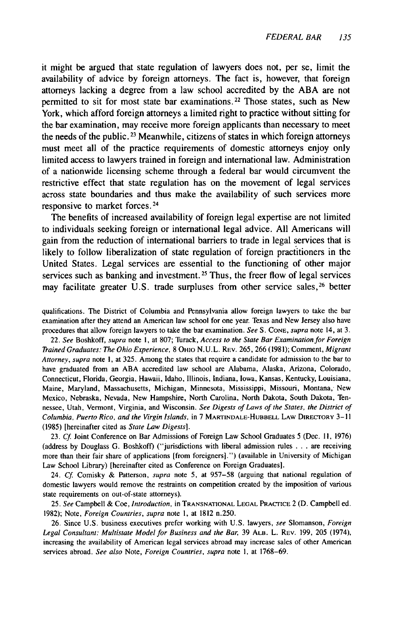it might be argued that state regulation of lawyers does not, per se, limit the availability of advice by foreign attorneys. The fact is, however, that foreign attorneys lacking a degree from a law school accredited by the ABA are not permitted to sit for most state bar examinations.<sup>22</sup> Those states, such as New York, which afford foreign attorneys a limited right to practice without sitting for the bar examination, may receive more foreign applicants than necessary to meet the needs of the public.<sup>23</sup> Meanwhile, citizens of states in which foreign attorneys must meet all of the practice requirements of domestic attorneys enjoy only limited access to lawyers trained in foreign and international law. Administration of a nationwide licensing scheme through a federal bar would circumvent the restrictive effect that state regulation has on the movement of legal services across state boundaries and thus make the availability of such services more responsive to market forces.<sup>24</sup>

The benefits of increased availability of foreign legal expertise are not limited to individuals seeking foreign or international legal advice. All Americans will gain from the reduction of international barriers to trade in legal services that is likely to follow liberalization of state regulation of foreign practitioners in the United States. Legal services are essential to the functioning of other major services such as banking and investment. **25** Thus, the freer flow of legal services may facilitate greater U.S. trade surpluses from other service sales,<sup>26</sup> better

qualifications. The District of Columbia and Pennsylvania allow foreign lawyers to take the bar examination after they attend an American law school for one year. Texas and New Jersey also have procedures that allow foreign lawyers to take the bar examination. See S. **CONE,** supra note 14, at 3.

22. See Boshkoff, supra note **1,** at 807; Turack, Access to the State Bar Examination for Foreign Trained Graduates: The Ohio Experience, 8 OHIO N.U.L. REV. 265, 266 (1981); Comment, Migrant Attorney, supra note **1,** at 325. Among the states that require a candidate for admission to the bar to have graduated from an ABA accredited law school are Alabama, Alaska, Arizona, Colorado, Connecticut, Florida, Georgia, Hawaii, Idaho, Illinois, Indiana, Iowa, Kansas, Kentucky, Louisiana, Maine, Maryland, Massachusetts, Michigan, Minnesota, Mississippi, Missouri, Montana, New Mexico, Nebraska, Nevada, New Hampshire, North Carolina, North Dakota, South Dakota, Tennessee, Utah, Vermont, Virginia, and Wisconsin. See Digests of Laws of the States, the District of Columbia, Puerto Rico, and the Virgin Islands, in 7 **MARTINDALE-HUBBELL** LAW DIRECTORY **3-11** (1985) [hereinafter cited as State Law Digests].

23. **Cf.** Joint Conference on Bar Admissions of Foreign Law School Graduates 5 (Dec. II, 1976) (address by Douglass G. Boshkoff) ("jurisdictions with liberal admission rules ... are receiving more than their fair share of applications [from foreigners].") (available in University of Michigan Law School Library) [hereinafter cited as Conference on Foreign Graduates].

24. Cf. Comisky & Patterson, supra note 5, at 957-58 (arguing that national regulation of domestic lawyers would remove the restraints on competition created by the imposition of various state requirements on out-of-state attorneys).

25. See Campbell & Coe, Introduction, in **TRANSNATIONAL LEGAL** PRACTICE 2 (D. Campbell ed. 1982); Note, Foreign Countries, supra note **1,** at 1812 n.250.

26. Since U.S. business executives prefer working with U.S. lawyers, see Slomanson, Foreign Legal Consultant: Multistate Model for Business and the Bar, 39 ALB. L. REV. 199, 205 (1974), increasing the availability of American legal services abroad may increase sales of other American services abroad. See also Note, Foreign Countries, supra note **1,** at 1768-69.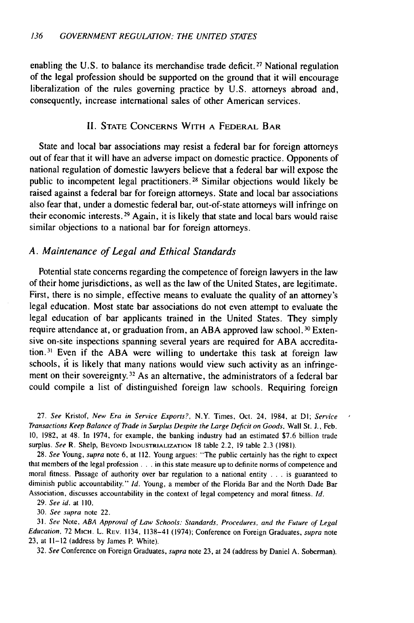enabling the U.S. to balance its merchandise trade deficit.<sup>27</sup> National regulation of the legal profession should be supported on the ground that it will encourage liberalization of the rules governing practice by U.S. attorneys abroad and, consequently, increase international sales of other American services.

#### II. **STATE CONCERNS** WITH **A** FEDERAL BAR

State and local bar associations may resist a federal bar for foreign attorneys out of fear that it will have an adverse impact on domestic practice. Opponents of national regulation of domestic lawyers believe that a federal bar will expose the public to incompetent legal practitioners. 28 Similar objections would likely be raised against a federal bar for foreign attorneys. State and local bar associations also fear that, under a domestic federal bar, out-of-state attorneys will infringe on their economic interests. 29 Again, it is likely that state and local bars would raise similar objections to a national bar for foreign attorneys.

#### *A. Maintenance of Legal and Ethical Standards*

Potential state concerns regarding the competence of foreign lawyers in the law of their home jurisdictions, as well as the law of the United States, are legitimate. First, there is no simple, effective means to evaluate the quality of an attorney's legal education. Most state bar associations do not even attempt to evaluate the legal education of bar applicants trained in the United States. They simply require attendance at, or graduation from, an ABA approved law school.<sup>30</sup> Extensive on-site inspections spanning several years are required for ABA accreditation. 3' Even if the ABA were willing to undertake this task at foreign law schools, it is likely that many nations would view such activity as an infringement on their sovereignty. 32 As an alternative, the administrators of a federal bar could compile a list of distinguished foreign law schools. Requiring foreign

27. *See* Kristof, *New Era in Service Exports?,* N.Y. Times, Oct. 24, 1984, at **DI;** *Service* Transactions Keep Balance of Trade in Surplus Despite the Large Deficit on Goods, Wall St. J., Feb. 10, 1982, at 48. In 1974, for example, the banking industry had an estimated \$7.6 billion trade surplus. See R. Shelp, BEYOND **INDUSTRIALIZATION** 18 table 2.2, 19 table 2.3 (1981).

28. See Young, supra note 6, at 112. Young argues: "The public certainly has the right to expect that members of the legal profession **...** in this state measure up to definite norms of competence and moral fitness. Passage of authority over bar regulation to a national entity . . . is guaranteed to diminish public accountability." Id. Young, a member of the Florida Bar and the North Dade Bar Association, discusses accountability in the context of legal competency and moral fitness. *Id.*

29. See id. at 110.

30. See supra note 22.

31. See Note, ABA Approval of Law Schools: Standards, Procedures, and the Future of Legal Education, 72 MICH. L. REV. 1134, 1138-41 (1974); Conference on Foreign Graduates, supra note 23, at 11-12 (address by James P. White).

32. See Conference on Foreign Graduates, supra note 23, at 24 (address by Daniel A. Soberman).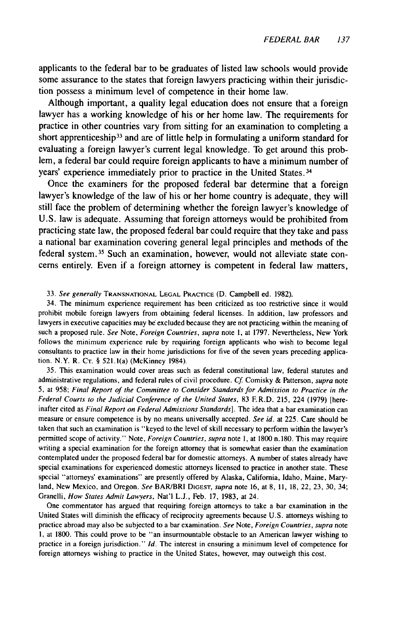applicants to the federal bar to be graduates of listed law schools would provide some assurance to the states that foreign lawyers practicing within their jurisdiction possess a minimum level of competence in their home law.

Although important, a quality legal education does not ensure that a foreign lawyer has a working knowledge of his or her home law. The requirements for practice in other countries vary from sitting for an examination to completing a short apprenticeship<sup>33</sup> and are of little help in formulating a uniform standard for evaluating a foreign lawyer's current legal knowledge. To get around this problem, a federal bar could require foreign applicants to have a minimum number of years' experience immediately prior to practice in the United States. **34**

Once the examiners for the proposed federal bar determine that a foreign lawyer's knowledge of the law of his or her home country is adequate, they will still face the problem of determining whether the foreign lawyer's knowledge of **U.S.** law is adequate. Assuming that foreign attorneys would be prohibited from practicing state law, the proposed federal bar could require that they take and pass a national bar examination covering general legal principles and methods of the federal system.<sup>35</sup> Such an examination, however, would not alleviate state concerns entirely. Even if a foreign attorney is competent in federal law matters,

33. See generally **TRANSNATIONAL LEGAL** PRACTICE (D. Campbell ed. 1982).

34. The minimum experience requirement has been criticized as too restrictive since it would prohibit mobile foreign lawyers from obtaining federal licenses. In addition, law professors and lawyers in executive capacities may be excluded because they are not practicing within the meaning of such a proposed rule. See Note, Foreign Countries, supra note **1,** at 1797. Nevertheless, New York follows the minimum experience rule by requiring foreign applicants who wish to become legal consultants to practice law in their home jurisdictions for five of the seven years preceding application. N.Y. R. **CT.** § 521.1(a) (McKinney 1984).

35. This examination would cover areas such as federal constitutional law, federal statutes and administrative regulations, and federal rules of civil procedure. Cf. Comisky & Patterson, supra note 5, at 958; Final Report of the Committee to Consider Standards for Admission to Practice in the Federal Courts to the Judicial Conference of the United States, 83 E R.D. 215, 224 (1979) [hereinafter cited as Final Report on Federal Admissions Standards]. The idea that a bar examination can measure or ensure competence is by no means universally accepted. See id. at 225. Care should be taken that such an examination is "keyed to the level of skill necessary to perform within the lawyer's permitted scope of activity." Note, Foreign Countries, supra note **1,** at 1800 n. 180. This may require writing a special examination for the foreign attorney that is somewhat easier than the examination contemplated under the proposed federal bar for domestic attorneys. A number of states already have special examinations for experienced domestic attorneys licensed to practice in another state. These special "attorneys' examinations" are presently offered by Alaska, California, Idaho, Maine, Maryland, New Mexico, and Oregon. See BAR/BRI **DIGEST,** supra note 16, at 8, II, 18, 22, 23, 30, 34; Granelli, How States Admit Lawyers, Nat'l L.J., Feb. 17, 1983, at 24.

One commentator has argued that requiring foreign attorneys to take a bar examination in the United States will diminish the efficacy of reciprocity agreements because U.S. attorneys wishing to practice abroad may also be subjected to a bar examination. See Note, Foreign Countries, supra note I, at 1800. This could prove to be "an insurmountable obstacle to an American lawyer wishing to practice in a foreign jurisdiction." *Id.* The interest in ensuring a minimum level of competence for foreign attorneys wishing to practice in the United States, however, may outweigh this cost.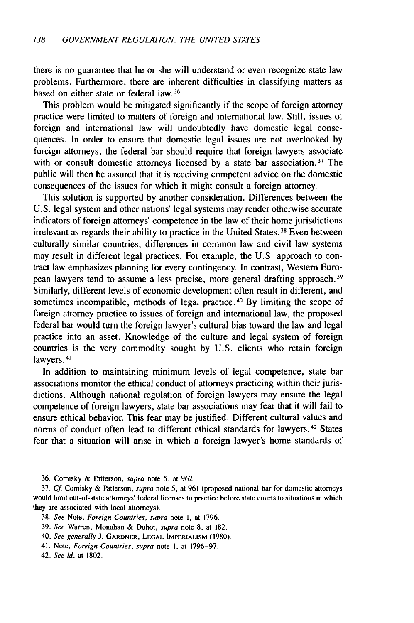there is no guarantee that he or she will understand or even recognize state law problems. Furthermore, there are inherent difficulties in classifying matters as based on either state or federal law. **36**

This problem would be mitigated significantly if the scope of foreign attorney practice were limited to matters of foreign and international law. Still, issues of foreign and international law will undoubtedly have domestic legal consequences. In order to ensure that domestic legal issues are not overlooked by foreign attorneys, the federal bar should require that foreign lawyers associate with or consult domestic attorneys licensed by a state bar association.<sup>37</sup> The public will then be assured that it is receiving competent advice on the domestic consequences of the issues for which it might consult a foreign attorney.

This solution is supported by another consideration. Differences between the U.S. legal system and other nations' legal systems may render otherwise accurate indicators of foreign attorneys' competence in the law of their home jurisdictions irrelevant as regards their ability to practice in the United States. 38 Even between culturally similar countries, differences in common law and civil law systems may result in different legal practices. For example, the U.S. approach to contract law emphasizes planning for every contingency. In contrast, Western European lawyers tend to assume a less precise, more general drafting approach. <sup>39</sup> Similarly, different levels of economic development often result in different, and sometimes incompatible, methods of legal practice. 40 By limiting the scope of foreign attorney practice to issues of foreign and international law, the proposed federal bar would turn the foreign lawyer's cultural bias toward the law and legal practice into an asset. Knowledge of the culture and legal system of foreign countries is the very commodity sought by U.S. clients who retain foreign lawyers. 41

In addition to maintaining minimum levels of legal competence, state bar associations monitor the ethical conduct of attorneys practicing within their jurisdictions. Although national regulation of foreign lawyers may ensure the legal competence of foreign lawyers, state bar associations may fear that it will fail to ensure ethical behavior. This fear may be justified. Different cultural values and norms of conduct often lead to different ethical standards for lawyers.<sup>42</sup> States fear that a situation will arise in which a foreign lawyer's home standards of

36. Comisky & Patterson, supra note 5, at 962.

37. *Cf.* Comisky & Patterson, supra note 5, at 961 (proposed national bar for domestic attorneys would limit out-of-state attorneys' federal licenses to practice before state courts to situations in which they are associated with local attorneys).

- 38. See Note, Foreign Countries, supra note 1, at 1796.
- 39. *See* Warren, Monahan & Duhot, *supra* note 8, at 182.
- 40. See generally **J.** GARDNER, **LEGAL IMPERIALISM (1980).**
- 41. Note, *Foreign* Countries, supra note **I,** at 1796-97.
- 42. See id. at 1802.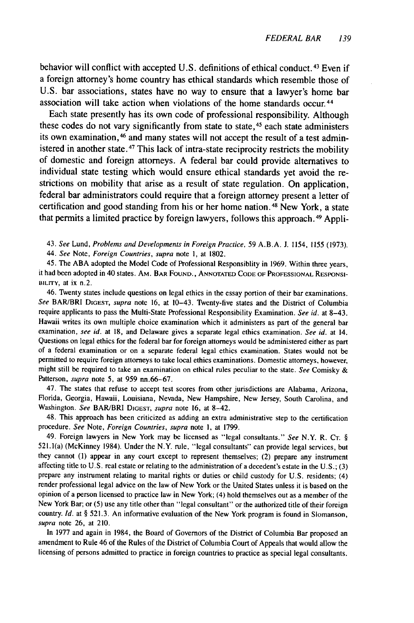behavior will conflict with accepted U.S. definitions of ethical conduct.<sup>43</sup> Even if a foreign attorney's home country has ethical standards which resemble those of U.S. bar associations, states have no way to ensure that a lawyer's home bar association will take action when violations of the home standards occur.<sup>44</sup>

Each state presently has its own code of professional responsibility. Although these codes do not vary significantly from state to state, 45 each state administers its own examination, 46 and many states will not accept the result of a test administered in another state.<sup>47</sup> This lack of intra-state reciprocity restricts the mobility of domestic and foreign attorneys. A federal bar could provide alternatives to individual state testing which would ensure ethical standards yet avoid the restrictions on mobility that arise as a result of state regulation. On application, federal bar administrators could require that a foreign attorney present a letter of certification and good standing from his or her home nation. 48 New York, a state that permits a limited practice by foreign lawyers, follows this approach. 49 Appli-

43. *See* Lund, Problems and Developments *in Foreign Practice,* 59 A.B.A. J. 1154, 1155 (1973). 44. See Note, Foreign Countries, supra note **1,** at 1802.

45. The ABA adopted the Model Code of Professional Responsiblity in 1969. Within three years, it had been adopted in 40 states. AM. BAR FOUND., ANNOTATED CODE OF PROFESSIONAL RESPONSI-BILITY, at ix n.2.

46. Twenty states include questions on legal ethics in the essay portion of their bar examinations. See BAR/BRI DIGEST, supra note 16, at 10–43. Twenty-five states and the District of Columbia require applicants to pass the Multi-State Professional Responsibility Examination. See id. at 8-43. Hawaii writes its own multiple choice examination which it administers as part of the general bar examination, see id. at 18, and Delaware gives a separate legal ethics examination. See id. at 14. Questions on legal ethics for the federal bar for foreign attorneys would be administered either as part of a federal examination or on a separate federal legal ethics examination. States would not be permitted to require foreign attorneys to take local ethics examinations. Domestic attorneys, however, might still be required to take an examination on ethical rules peculiar to the state. See Comisky  $\&$ Patterson, *supra* note 5, at 959 nn.66-67.

47. The states that refuse to accept test scores from other jurisdictions are Alabama, Arizona, Florida, Georgia, Hawaii, Louisiana, Nevada, New Hampshire, New Jersey, South Carolina, and Washington. See BAR/BRI DIGEST, *supra* note 16, at 8-42.

48. This approach has been criticized as adding an extra administrative step to the certification procedure. See Note, Foreign Countries, *supra* note **1,** at 1799.

49. Foreign lawyers in New York may be licensed as "legal consultants." See N.Y. R. **CT.** § 521.1(a) (McKinney 1984). Under the N.Y. rule, "legal consultants" can provide legal services, but they cannot **(1)** appear in any court except to represent themselves; (2) prepare any instrument affecting title to U.S. real estate or relating to the administration of a decedent's estate in the U.S.; (3) prepare any instrument relating to marital rights or duties or child custody for U.S. residents; (4) render professional legal advice on the law of New York or the United States unless it is based on the opinion of a person licensed to practice law in New York; (4) hold themselves out as a member of the New York Bar; or **(5)** use any title other than "legal consultant" or the authorized title of their foreign country. Id. at § 521.3. An informative evaluation of the New York program is found in Slomanson, supra note 26, at 210.

In 1977 and again in 1984, the Board of Governors of the District of Columbia Bar proposed an amendment to Rule 46 of the Rules of the District of Columbia Court of Appeals that would allow the licensing of persons admitted to practice in foreign countries to practice as special legal consultants.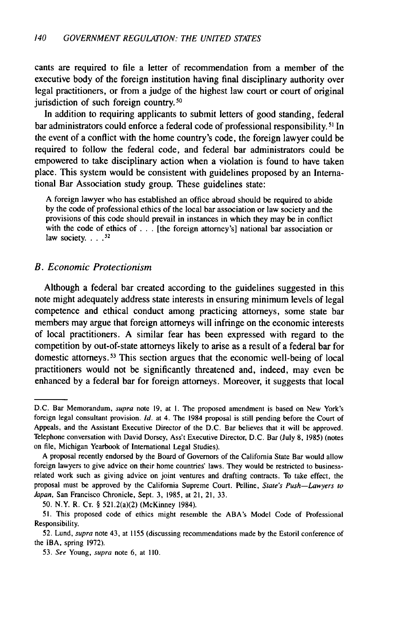cants are required to file a letter of recommendation from a member of the executive body of the foreign institution having final disciplinary authority over legal practitioners, or from a judge of the highest law court or court of original jurisdiction of such foreign country.<sup>50</sup>

In addition to requiring applicants to submit letters of good standing, federal bar administrators could enforce a federal code of professional responsibility.<sup>51</sup> In the event of a conflict with the home country's code, the foreign lawyer could be required to follow the federal code, and federal bar administrators could be empowered to take disciplinary action when a violation is found to have taken place. This system would be consistent with guidelines proposed **by** an International Bar Association study group. These guidelines state:

A foreign lawyer who has established an office abroad should be required to abide **by** the code of professional ethics of the local bar association or law society and the provisions of this code should prevail in instances in which they may be in conflict with the code of ethics of  $\ldots$  [the foreign attorney's] national bar association or law society... $^{52}$ 

#### *B. Economic Protectionism*

Although a federal bar created according to the guidelines suggested in this note might adequately address state interests in ensuring minimum levels of legal competence and ethical conduct among practicing attorneys, some state bar members may argue that foreign attorneys will infringe on the economic interests of local practitioners. A similar fear has been expressed with regard to the competition **by** out-of-state attorneys likely to arise as a result of a federal bar for domestic attorneys. **3** This section argues that the economic well-being of local practitioners would not be significantly threatened and, indeed, may even be enhanced **by** a federal bar for foreign attorneys. Moreover, it suggests that local

50. N.Y. R. CT. § 521.2(a)(2) (McKinney 1984).

D.C. Bar Memorandum, supra note 19, at I. The proposed amendment is based on New York's foreign legal consultant provision. *Id.* at 4. The 1984 proposal is still pending before the Court of Appeals, and the Assistant Executive Director of the D.C. Bar believes that it will be approved. Telephone conversation with David Dorsey, Ass't Executive Director, D.C. Bar (July **8,** 1985) (notes on file, Michigan Yearbook of International Legal Studies).

A proposal recently endorsed **by** the Board of Governors of the California State Bar would allow foreign lawyers to give advice on their home countries' laws. They would be restricted to businessrelated work such as giving advice on joint ventures and drafting contracts. To take effect, the proposal must be approved **by** the California Supreme Court. Pelline, State's Push-Lawyers to Japan, San Francisco Chronicle, Sept. 3, 1985, at 21, 21, 33.

**<sup>51.</sup>** This proposed code of ethics might resemble the ABA's Model Code of Professional Responsibility.

<sup>52.</sup> Lund, supra note 43, at 1155 (discussing recommendations made **by** the Estoril conference of the IBA, spring 1972).

<sup>53.</sup> *See* Young, *supra* note 6, at 110.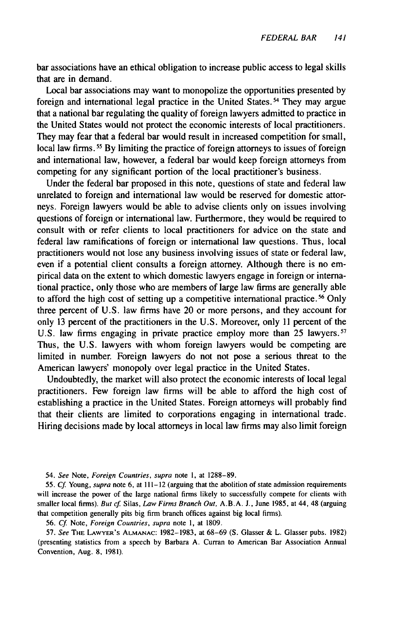bar associations have an ethical obligation to increase public access to legal skills that are in demand.

Local bar associations may want to monopolize the opportunities presented by foreign and international legal practice in the United States.<sup>54</sup> They may argue that a national bar regulating the quality of foreign lawyers admitted to practice in the United States would not protect the economic interests of local practitioners. They may fear that a federal bar would result in increased competition for small, local law firms.<sup>55</sup> By limiting the practice of foreign attorneys to issues of foreign and international law, however, a federal bar would keep foreign attorneys from competing for any significant portion of the local practitioner's business.

Under the federal bar proposed in this note, questions of state and federal law unrelated to foreign and international law would be reserved for domestic attorneys. Foreign lawyers would be able to advise clients only on issues involving questions of foreign or international law. Furthermore, they would be required to consult with or refer clients to local practitioners for advice on the state and federal law ramifications of foreign or international law questions. Thus, local practitioners would not lose any business involving issues of state or federal law, even if a potential client consults a foreign attorney. Although there is no empirical data on the extent to which domestic lawyers engage in foreign or international practice, only those who are members of large law firms are generally able to afford the high cost of setting up a competitive international practice.<sup>56</sup> Only three percent of U.S. law firms have 20 or more persons, and they account for only 13 percent of the practitioners in the U.S. Moreover, only 11 percent of the U.S. law firms engaging in private practice employ more than 25 lawyers.<sup>57</sup> Thus, the U.S. lawyers with whom foreign lawyers would be competing are limited in number. Foreign lawyers do not not pose a serious threat to the American lawyers' monopoly over legal practice in the United States.

Undoubtedly, the market will also protect the economic interests of local legal practitioners. Few foreign law firms will be able to afford the high cost of establishing a practice in the United States. Foreign attorneys will probably find that their clients are limited to corporations engaging in international trade. Hiring decisions made by local attorneys in local law firms may also limit foreign

54. See Note, Foreign Countries, supra note **1,** at 1288-89.

55. Cf. Young, supra note 6, at 111-12 (arguing that the abolition of state admission requirements will increase the power of the large national firms likely to successfully compete for clients with smaller local firms). But cf. Silas, Law Firms Branch Out, A.B.A. J., June 1985, at 44, 48 (arguing that competition generally pits big firm branch offices against big local firms).

56. Cf Note, Foreign Countries, supra note **1,** at 1809.

57. See THE LAWYER'S **ALMANAC:** 1982-1983, at 68-69 (S. Glasser & L. Glasser pubs. 1982) (presenting statistics from a speech by Barbara A. Curran to American Bar Association Annual Convention, Aug. 8, 1981).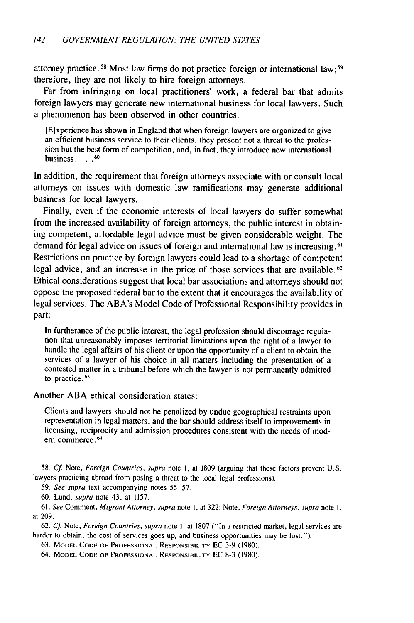attorney practice. 5s Most law firms do not practice foreign or international law; <sup>59</sup> therefore, they are not likely to hire foreign attorneys.

Far from infringing on local practitioners' work, a federal bar that admits foreign lawyers may generate new international business for local lawyers. Such a phenomenon has been observed in other countries:

[E]xperience has shown in England that when foreign lawyers are organized to give an efficient business service to their clients, they present not a threat to the profession but the best form of competition, and, in fact, they introduce new international business. . . **.60**

In addition, the requirement that foreign attorneys associate with or consult local attorneys on issues with domestic law ramifications may generate additional business for local lawyers.

Finally, even if the economic interests of local lawyers do suffer somewhat from the increased availability of foreign attorneys, the public interest in obtaining competent, affordable legal advice must be given considerable weight. The demand for legal advice on issues of foreign and international law is increasing. 61 Restrictions on practice by foreign lawyers could lead to a shortage of competent legal advice, and an increase in the price of those services that are available.<sup>62</sup> Ethical considerations suggest that local bar associations and attorneys should not oppose the proposed federal bar to the extent that it encourages the availability of legal services. The ABA's Model Code of Professional Responsibility provides in part:

In furtherance of the public interest, the legal profession should discourage regulation that unreasonably imposes territorial limitations upon the right of a lawyer to handle the legal affairs of his client or upon the opportunity of a client to obtain the services of a lawyer of his choice in all matters including the presentation of a contested matter in a tribunal before which the lawyer is not permanently admitted to practice. <sup>63</sup>

Another ABA ethical consideration states:

Clients and lawyers should not be penalized by undue geographical restraints upon representation in legal matters, and the bar should address itself to improvements in licensing, reciprocity and admission procedures consistent with the needs of modern commerce.<sup>64</sup>

58. Cf. Note, Foreign Countries, supra note 1, at 1809 (arguing that these factors prevent U.S. lawyers practicing abroad from posing a threat to the local legal professions).

59. See supra text accompanying notes 55-57.

60. Lund, supra note 43, at 1157.

61. See Comment, Migrant Attorney, supra note **1,** at 322; Note, Foreign Attorneys, supra note **1,** at 209.

62. Cf Note, Foreign Countries, supra note **I,** at 1807 ("In a restricted market, legal services are harder to obtain, the cost of services goes up, and business opportunities may be lost.").

**63.** MODEL **CODE** OF **PROFESSIONAL** RESPONSIBILITY EC 3-9 (1980).

64. MODEL **CODE** OF PROFESSIONAL RESPONSIBILITY **EC** 8-3 (1980).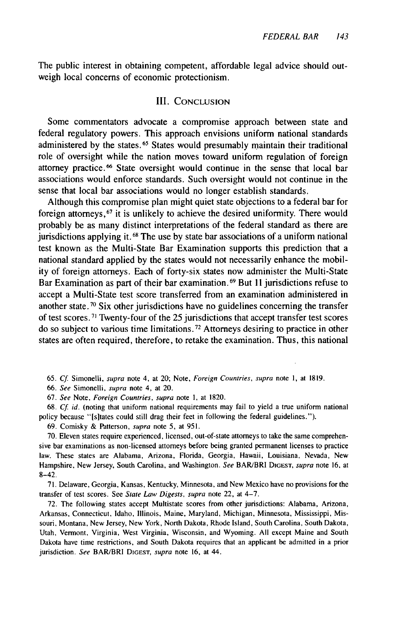The public interest in obtaining competent, affordable legal advice should outweigh local concerns of economic protectionism.

#### III. **CONCLUSION**

Some commentators advocate a compromise approach between state and federal regulatory powers. This approach envisions uniform national standards administered by the states.<sup>65</sup> States would presumably maintain their traditional role of oversight while the nation moves toward uniform regulation of foreign attorney practice. 66 State oversight would continue in the sense that local bar associations would enforce standards. Such oversight would not continue in the sense that local bar associations would no longer establish standards.

Although this compromise plan might quiet state objections to a federal bar for foreign attorneys, 67 it is unlikely to achieve the desired uniformity. There would probably be as many distinct interpretations of the federal standard as there are jurisdictions applying it. **61** The use by state bar associations of a uniform national test known as the Multi-State Bar Examination supports this prediction that a national standard applied by the states would not necessarily enhance the mobility of foreign attorneys. Each of forty-six states now administer the Multi-State Bar Examination as part of their bar examination. 69 But **II** jurisdictions refuse to accept a Multi-State test score transferred from an examination administered in another state.<sup>70</sup> Six other jurisdictions have no guidelines concerning the transfer of test scores. **71** Twenty-four of the 25 jurisdictions that accept transfer test scores do so subject to various time limitations.<sup>72</sup> Attorneys desiring to practice in other states are often required, therefore, to retake the examination. Thus, this national

65. Cf. Simonelli, supra note 4, at 20; Note, Foreign Countries, supra note 1, at 1819.

66. See Simonelli, supra note 4, at 20.

67. See Note, Foreign Countries, supra note **1,** at 1820.

68.  $Cf$ . id. (noting that uniform national requirements may fail to yield a true uniform national policy because "[sitates could still drag their feet in following the federal guidelines.").

69. Comisky & Patterson, supra note 5, at 951.

70. Eleven states require experienced, licensed, out-of-state attorneys to take the same comprehensive bar examinations as non-licensed attorneys before being granted permanent licenses to practice law. These states are Alabama, Arizona, Florida, Georgia, Hawaii, Louisiana, Nevada, New Hampshire, New Jersey, South Carolina, and Washington. See BAR/BRI **DIGEST,** supra note **16,** at 8-42.

71. Delaware, Georgia, Kansas, Kentucky, Minnesota, and New Mexico have no provisions for the transfer of test scores. See State Law Digests, supra note 22, at 4-7.

72. The following states accept Multistate scores from other jurisdictions: Alabama, Arizona, Arkansas, Connecticut, Idaho, Illinois, Maine, Maryland, Michigan, Minnesota, Mississippi, Missouri, Montana, New Jersey, New York, North Dakota, Rhode Island, South Carolina, South Dakota, Utah, Vermont, Virginia, West Virginia, Wisconsin, and Wyoming. All except Maine and South Dakota have time restrictions, and South Dakota requires that an applicant be admitted in a prior jurisdiction. See BAR/BRI **DIGEST,** supra note 16, at 44.